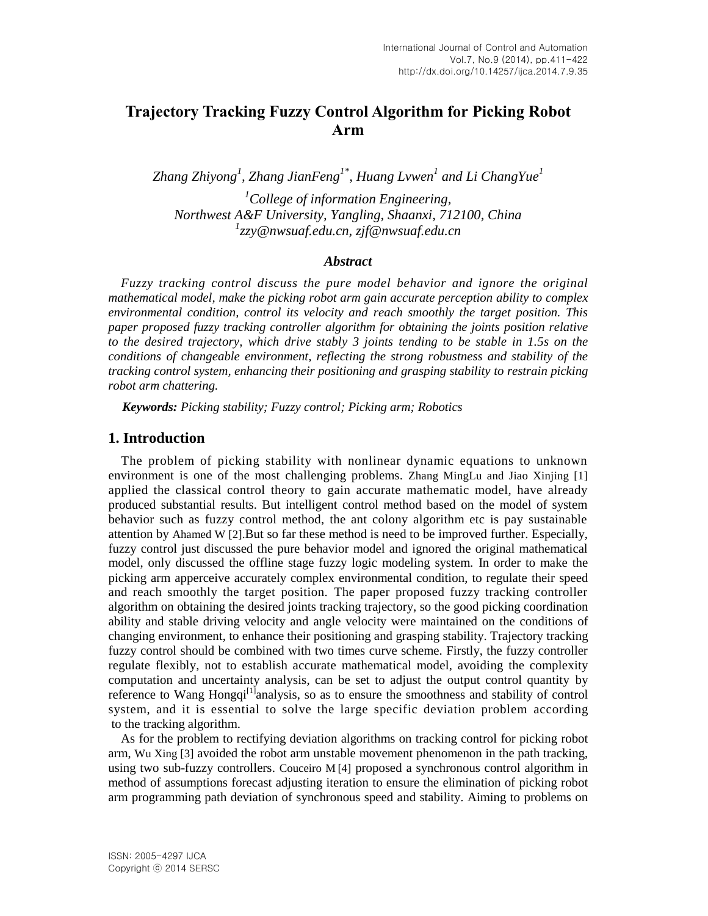# **Trajectory Tracking Fuzzy Control Algorithm for Picking Robot Arm**

*Zhang Zhiyong<sup>1</sup> , Zhang JianFeng1\* , Huang Lvwen<sup>1</sup> and Li ChangYue<sup>1</sup>*

*<sup>1</sup>College of information Engineering, Northwest A&F University, Yangling, Shaanxi, 712100, China 1 zzy@nwsuaf.edu.cn, zjf@nwsuaf.edu.cn*

#### *Abstract*

*Fuzzy tracking control discuss the pure model behavior and ignore the original mathematical model, make the picking robot arm gain accurate perception ability to complex environmental condition, control its velocity and reach smoothly the target position. This paper proposed fuzzy tracking controller algorithm for obtaining the joints position relative to the desired trajectory, which drive stably 3 joints tending to be stable in 1.5s on the conditions of changeable environment, reflecting the strong robustness and stability of the tracking control system, enhancing their positioning and grasping stability to restrain picking robot arm chattering.*

*Keywords: Picking stability; Fuzzy control; Picking arm; Robotics*

# **1. Introduction**

The problem of picking stability with nonlinear dynamic equations to unknown environment is one of the most challenging problems. Zhang MingLu and Jiao Xinjing [1] applied the classical control theory to gain accurate mathematic model, have already produced substantial results. But intelligent control method based on the model of system behavior such as fuzzy control method, the ant colony algorithm etc is pay sustainable attention by Ahamed W [2].But so far these method is need to be improved further. Especially, fuzzy control just discussed the pure behavior model and ignored the original mathematical model, only discussed the offline stage fuzzy logic modeling system. In order to make the picking arm apperceive accurately complex environmental condition, to regulate their speed and reach smoothly the target position. The paper proposed fuzzy tracking controller algorithm on obtaining the desired joints tracking trajectory, so the good picking coordination ability and stable driving velocity and angle velocity were maintained on the conditions of changing environment, to enhance their positioning and grasping stability. Trajectory tracking fuzzy control should be combined with two times curve scheme. Firstly, the fuzzy controller regulate flexibly, not to establish accurate mathematical model, avoiding the complexity computation and uncertainty analysis, can be set to adjust the output control quantity by reference to Wang Hongqi<sup>[1]</sup>analysis, so as to ensure the smoothness and stability of control system, and it is essential to solve the large specific deviation problem according to the tracking algorithm.

As for the problem to rectifying deviation algorithms on tracking control for picking robot arm, Wu Xing [3] avoided the robot arm unstable movement phenomenon in the path tracking, using two sub-fuzzy controllers. Couceiro M [4] proposed a synchronous control algorithm in method of assumptions forecast adjusting iteration to ensure the elimination of picking robot arm programming path deviation of synchronous speed and stability. Aiming to problems on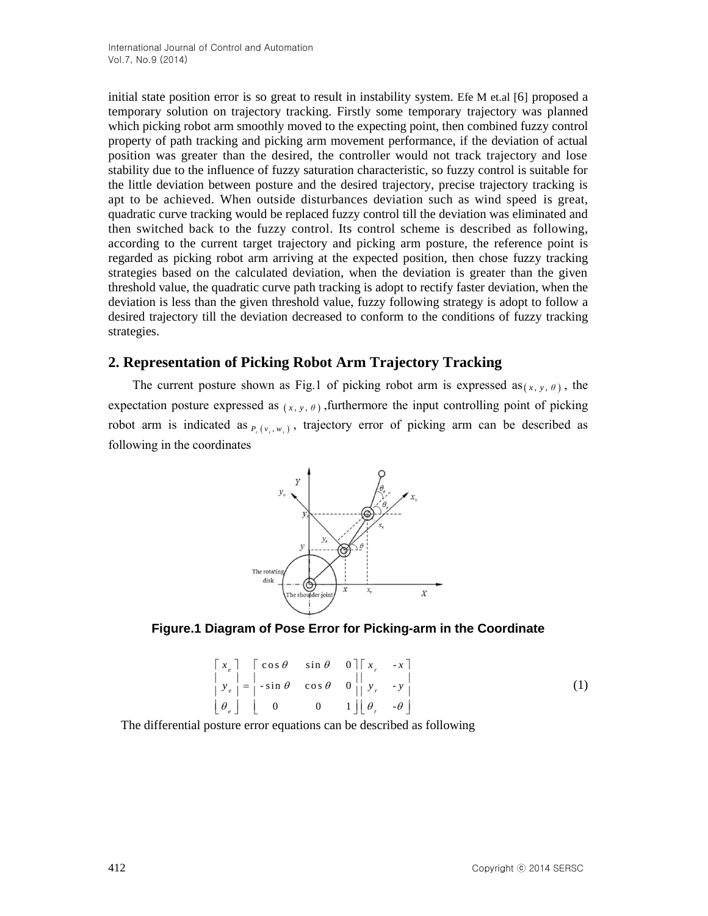initial state position error is so great to result in instability system. Efe M et.al [6] proposed a temporary solution on trajectory tracking. Firstly some temporary trajectory was planned which picking robot arm smoothly moved to the expecting point, then combined fuzzy control property of path tracking and picking arm movement performance, if the deviation of actual position was greater than the desired, the controller would not track trajectory and lose stability due to the influence of fuzzy saturation characteristic, so fuzzy control is suitable for the little deviation between posture and the desired trajectory, precise trajectory tracking is apt to be achieved. When outside disturbances deviation such as wind speed is great, quadratic curve tracking would be replaced fuzzy control till the deviation was eliminated and then switched back to the fuzzy control. Its control scheme is described as following, according to the current target trajectory and picking arm posture, the reference point is regarded as picking robot arm arriving at the expected position, then chose fuzzy tracking strategies based on the calculated deviation, when the deviation is greater than the given threshold value, the quadratic curve path tracking is adopt to rectify faster deviation, when the deviation is less than the given threshold value, fuzzy following strategy is adopt to follow a desired trajectory till the deviation decreased to conform to the conditions of fuzzy tracking strategies.

# **2. Representation of Picking Robot Arm Trajectory Tracking**

The current posture shown as Fig.1 of picking robot arm is expressed  $as_{(x, y, \theta)}$ , the expectation posture expressed as  $(x, y, \theta)$ , furthermore the input controlling point of picking robot arm is indicated as  $_{P_r(v_r,w_r)}$ , trajectory error of picking arm can be described as following in the coordinates





$$
\begin{bmatrix} x_e \\ y_e \\ y_e \end{bmatrix} = \begin{bmatrix} \cos \theta & \sin \theta & 0 \\ -\sin \theta & \cos \theta & 0 \\ 0 & 0 & 1 \end{bmatrix} \begin{bmatrix} x_r & -x \\ y_r & -y \\ y_r & -y \end{bmatrix}
$$
 (1)

The differential posture error equations can be described as following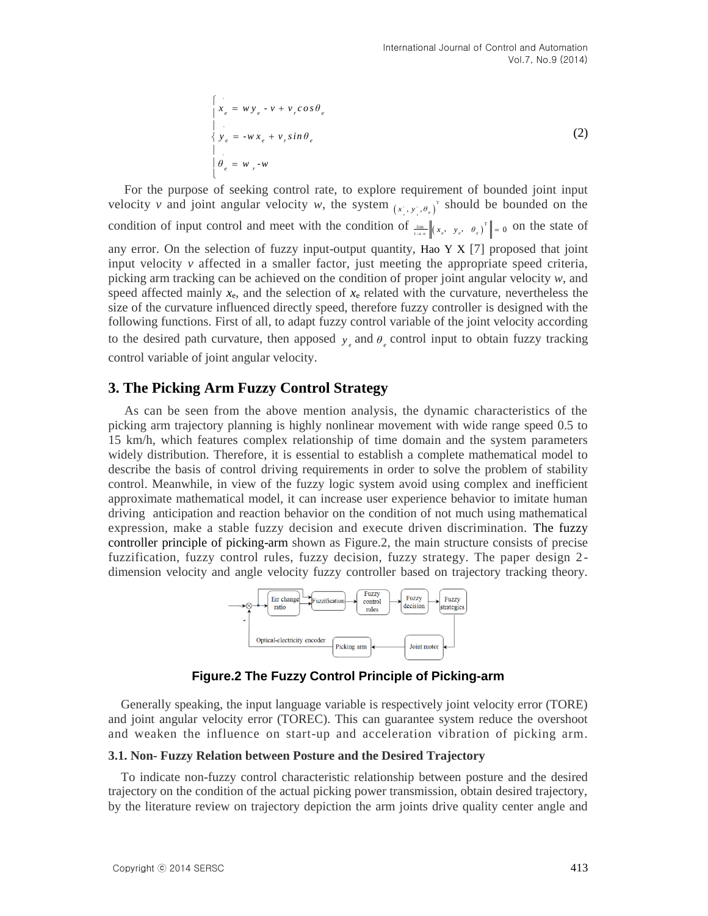$$
\begin{cases}\n x_e = w y_e - v + v_r \cos \theta_e \\
 y_e = -w x_e + v_r \sin \theta_e \\
 \theta_e = w_r - w\n\end{cases}
$$
\n(2)

For the purpose of seeking control rate, to explore requirement of bounded joint input velocity *v* and joint angular velocity *w*, the system  $(x_i, y_j, \theta_i)$ <sup> $\tau$ </sup> should be bounded on the condition of input control and meet with the condition of  $\lim_{t\to\infty} ||(x_{\epsilon}, y_{\epsilon}, \theta_{\epsilon})^T|| = 0$  on the state of any error. On the selection of fuzzy input-output quantity, Hao Y X [7] proposed that joint input velocity *v* affected in a smaller factor, just meeting the appropriate speed criteria, picking arm tracking can be achieved on the condition of proper joint angular velocity *w*, and speed affected mainly  $x_e$ , and the selection of  $x_e$  related with the curvature, nevertheless the size of the curvature influenced directly speed, therefore fuzzy controller is designed with the following functions. First of all, to adapt fuzzy control variable of the joint velocity according to the desired path curvature, then apposed  $y_e$  and  $\theta_e$  control input to obtain fuzzy tracking control variable of joint angular velocity.

# **3. The Picking Arm Fuzzy Control Strategy**

As can be seen from the above mention analysis, the dynamic characteristics of the picking arm trajectory planning is highly nonlinear movement with wide range speed 0.5 to 15 km/h, which features complex relationship of time domain and the system parameters widely distribution. Therefore, it is essential to establish a complete mathematical model to describe the basis of control driving requirements in order to solve the problem of stability control. Meanwhile, in view of the fuzzy logic system avoid using complex and inefficient approximate mathematical model, it can increase user experience behavior to imitate human driving anticipation and reaction behavior on the condition of not much using mathematical expression, make a stable fuzzy decision and execute driven discrimination. The fuzzy controller principle of picking-arm shown as Figure.2, the main structure consists of precise fuzzification, fuzzy control rules, fuzzy decision, fuzzy strategy. The paper design 2 dimension velocity and angle velocity fuzzy controller based on trajectory tracking theory.



**Figure.2 The Fuzzy Control Principle of Picking-arm** 

Generally speaking, the input language variable is respectively joint velocity error (TORE) and joint angular velocity error (TOREC). This can guarantee system reduce the overshoot and weaken the influence on start-up and acceleration vibration of picking arm.

#### **3.1. Non- Fuzzy Relation between Posture and the Desired Trajectory**

To indicate non-fuzzy control characteristic relationship between posture and the desired trajectory on the condition of the actual picking power transmission, obtain desired trajectory, by the literature review on trajectory depiction the arm joints drive quality center angle and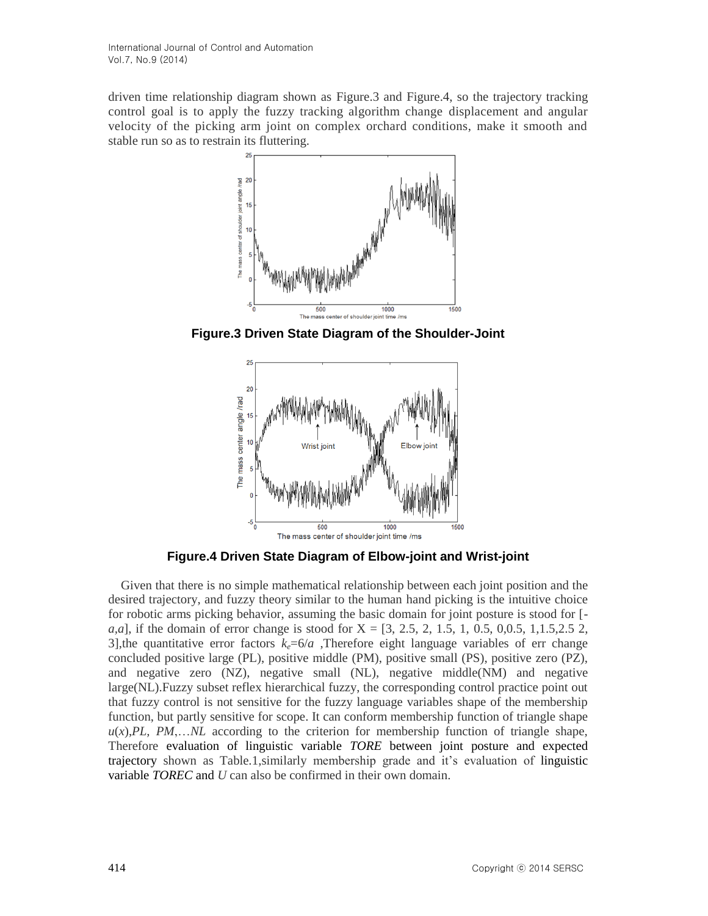driven time relationship diagram shown as Figure.3 and Figure.4, so the trajectory tracking control goal is to apply the fuzzy tracking algorithm change displacement and angular velocity of the picking arm joint on complex orchard conditions, make it smooth and stable run so as to restrain its fluttering.



**Figure.3 Driven State Diagram of the Shoulder-Joint**



**Figure.4 Driven State Diagram of Elbow-joint and Wrist-joint** 

Given that there is no simple mathematical relationship between each joint position and the desired trajectory, and fuzzy theory similar to the human hand picking is the intuitive choice for robotic arms picking behavior, assuming the basic domain for joint posture is stood for [ *a,a*], if the domain of error change is stood for X = [3, 2.5, 2, 1.5, 1, 0.5, 0,0.5, 1,1.5,2.5 2, 3], the quantitative error factors  $k_e=6/a$ . Therefore eight language variables of err change concluded positive large (PL), positive middle (PM), positive small (PS), positive zero (PZ), and negative zero (NZ), negative small (NL), negative middle(NM) and negative large(NL).Fuzzy subset reflex hierarchical fuzzy, the corresponding control practice point out that fuzzy control is not sensitive for the fuzzy language variables shape of the membership function, but partly sensitive for scope. It can conform membership function of triangle shape  $u(x)$ , *PL*, *PM*,...*NL* according to the criterion for membership function of triangle shape, Therefore evaluation of linguistic variable *TORE* between joint posture and expected trajectory shown as Table.1,similarly membership grade and it's evaluation of linguistic variable *TOREC* and *U* can also be confirmed in their own domain.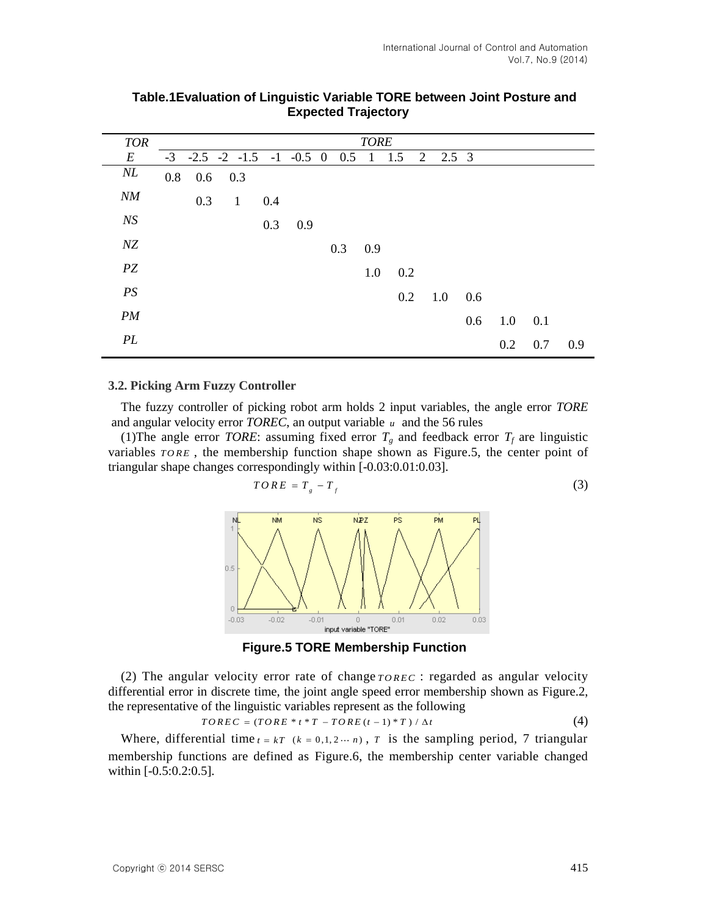| <b>TOR</b> | <b>TORE</b> |     |              |     |                                             |  |     |     |     |   |               |     |     |     |     |
|------------|-------------|-----|--------------|-----|---------------------------------------------|--|-----|-----|-----|---|---------------|-----|-----|-----|-----|
| $E\,$      |             |     |              |     | $-3$ $-2.5$ $-2$ $-1.5$ $-1$ $-0.5$ 0 0.5 1 |  |     |     | 1.5 | 2 | $2.5 \quad 3$ |     |     |     |     |
| NL         | 0.8         |     | $0.6$ 0.3    |     |                                             |  |     |     |     |   |               |     |     |     |     |
| NM         |             | 0.3 | $\mathbf{1}$ | 0.4 |                                             |  |     |     |     |   |               |     |     |     |     |
| N S        |             |     |              | 0.3 | 0.9                                         |  |     |     |     |   |               |     |     |     |     |
| $N\!Z$     |             |     |              |     |                                             |  | 0.3 | 0.9 |     |   |               |     |     |     |     |
| $\cal{P}Z$ |             |     |              |     |                                             |  |     | 1.0 | 0.2 |   |               |     |     |     |     |
| PS         |             |     |              |     |                                             |  |     |     | 0.2 |   | 1.0           | 0.6 |     |     |     |
| PM         |             |     |              |     |                                             |  |     |     |     |   |               | 0.6 | 1.0 | 0.1 |     |
| PL         |             |     |              |     |                                             |  |     |     |     |   |               |     | 0.2 | 0.7 | 0.9 |

# **Table.1Evaluation of Linguistic Variable TORE between Joint Posture and Expected Trajectory**

#### **3.2. Picking Arm Fuzzy Controller**

The fuzzy controller of picking robot arm holds 2 input variables, the angle error *TORE* and angular velocity error *TOREC*, an output variable *u* and the 56 rules

(1) The angle error *TORE*: assuming fixed error  $T_g$  and feedback error  $T_f$  are linguistic variables  $TORE$ , the membership function shape shown as Figure.5, the center point of triangular shape changes correspondingly within [-0.03:0.01:0.03].

$$
TORE = T_{g} - T_{f}
$$
 (3)



**Figure.5 TORE Membership Function**

(2) The angular velocity error rate of change  $TOREC$ : regarded as angular velocity differential error in discrete time, the joint angle speed error membership shown as Figure.2, the representative of the linguistic variables represent as the following  $TOREC = (TORE * t * T - TORE(t-1) * T) / \Delta t$  (4)

$$
TOREC = (TORE * t * T - TORE(t-1) * T) / \Delta t \tag{4}
$$

Where, differential time  $t = kT$  ( $k = 0,1,2 \cdots n$ ), T is the sampling period, 7 triangular membership functions are defined as Figure.6, the membership center variable changed within [-0.5:0.2:0.5].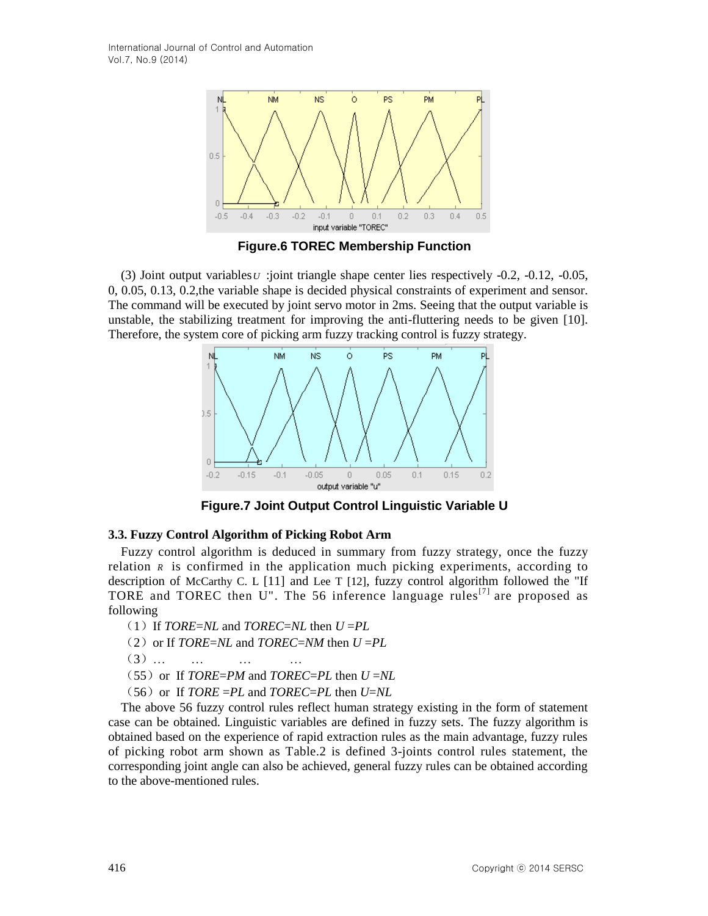

**Figure.6 TOREC Membership Function** 

(3) Joint output variables *U* :joint triangle shape center lies respectively -0.2, -0.12, -0.05, 0, 0.05, 0.13, 0.2,the variable shape is decided physical constraints of experiment and sensor. The command will be executed by joint servo motor in 2ms. Seeing that the output variable is unstable, the stabilizing treatment for improving the anti-fluttering needs to be given [10]. Therefore, the system core of picking arm fuzzy tracking control is fuzzy strategy.



**Figure.7 Joint Output Control Linguistic Variable U**

#### **3.3. Fuzzy Control Algorithm of Picking Robot Arm**

Fuzzy control algorithm is deduced in summary from fuzzy strategy, once the fuzzy relation *R* is confirmed in the application much picking experiments, according to description of McCarthy C. L [11] and Lee T [12], fuzzy control algorithm followed the "If TORE and TOREC then  $U''$ . The 56 inference language rules<sup>[7]</sup> are proposed as following

- $(1)$  If *TORE=NL* and *TOREC=NL* then  $U = PL$
- (2) or If *TORE*=*NL* and *TOREC*=*NM* then  $U = PL$
- (3)… … … …
- $(55)$  or If *TORE=PM* and *TOREC=PL* then  $U = NL$
- $(56)$  or If  $TORE = PL$  and  $TOREC = PL$  then  $U = NL$

The above 56 fuzzy control rules reflect human strategy existing in the form of statement case can be obtained. Linguistic variables are defined in fuzzy sets. The fuzzy algorithm is obtained based on the experience of rapid extraction rules as the main advantage, fuzzy rules of picking robot arm shown as Table.2 is defined 3-joints control rules statement, the corresponding joint angle can also be achieved, general fuzzy rules can be obtained according to the above-mentioned rules.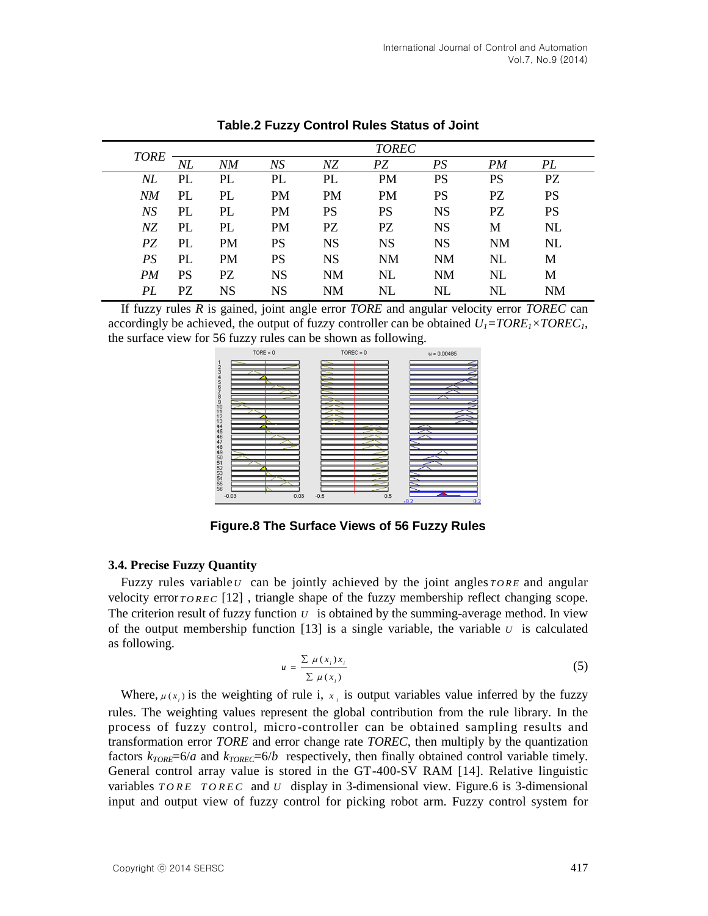|  | <b>TORE</b> | <b>TOREC</b> |           |           |           |           |           |           |           |  |  |
|--|-------------|--------------|-----------|-----------|-----------|-----------|-----------|-----------|-----------|--|--|
|  |             | NL           | NΜ        | NS        | NΖ        | PZ        | PS        | PM        | PL        |  |  |
|  | NL          | PL           | PL        | PL        | PL        | <b>PM</b> | <b>PS</b> | <b>PS</b> | PZ        |  |  |
|  | NM          | PL           | PL        | PM        | <b>PM</b> | <b>PM</b> | <b>PS</b> | <b>PZ</b> | <b>PS</b> |  |  |
|  | NS          | PL           | PL        | PM        | PS        | <b>PS</b> | <b>NS</b> | PZ        | <b>PS</b> |  |  |
|  | NZ.         | PL           | PL        | <b>PM</b> | PZ        | PZ        | <b>NS</b> | М         | NL        |  |  |
|  | PZ          | PL           | <b>PM</b> | PS        | <b>NS</b> | <b>NS</b> | <b>NS</b> | <b>NM</b> | NL        |  |  |
|  | PS          | PL           | PM        | PS        | <b>NS</b> | <b>NM</b> | <b>NM</b> | NL        | М         |  |  |
|  | PM          | PS           | PZ        | <b>NS</b> | <b>NM</b> | <b>NL</b> | <b>NM</b> | NL        | M         |  |  |
|  | PL          | PZ           | <b>NS</b> | <b>NS</b> | NΜ        | NL        | $\rm NL$  | NL        | <b>NM</b> |  |  |

**Table.2 Fuzzy Control Rules Status of Joint**

If fuzzy rules *R* is gained, joint angle error *TORE* and angular velocity error *TOREC* can accordingly be achieved, the output of fuzzy controller can be obtained  $U<sub>I</sub>=TORE<sub>I</sub> \times TOREC<sub>I</sub>$ , the surface view for 56 fuzzy rules can be shown as following.



**Figure.8 The Surface Views of 56 Fuzzy Rules**

#### **3.4. Precise Fuzzy Quantity**

Fuzzy rules variable  $U$  can be jointly achieved by the joint angles  $TORE$  and angular velocity error *TOREC* [12], triangle shape of the fuzzy membership reflect changing scope. The criterion result of fuzzy function  $U$  is obtained by the summing-average method. In view of the output membership function  $[13]$  is a single variable, the variable  $U$  is calculated as following.

$$
u = \frac{\sum \mu(x_i) x_i}{\sum \mu(x_i)}
$$
 (5)

Where,  $\mu(x_i)$  is the weighting of rule i,  $x_i$  is output variables value inferred by the fuzzy rules. The weighting values represent the global contribution from the rule library. In the process of fuzzy control, micro-controller can be obtained sampling results and transformation error *TORE* and error change rate *TOREC*, then multiply by the quantization factors  $k_{\text{TORE}} = 6/a$  and  $k_{\text{TOREC}} = 6/b$  respectively, then finally obtained control variable timely. General control array value is stored in the GT-400-SV RAM [14]. Relative linguistic variables  $TORE$   $TOREC$  and  $U$  display in 3-dimensional view. Figure.6 is 3-dimensional input and output view of fuzzy control for picking robot arm. Fuzzy control system for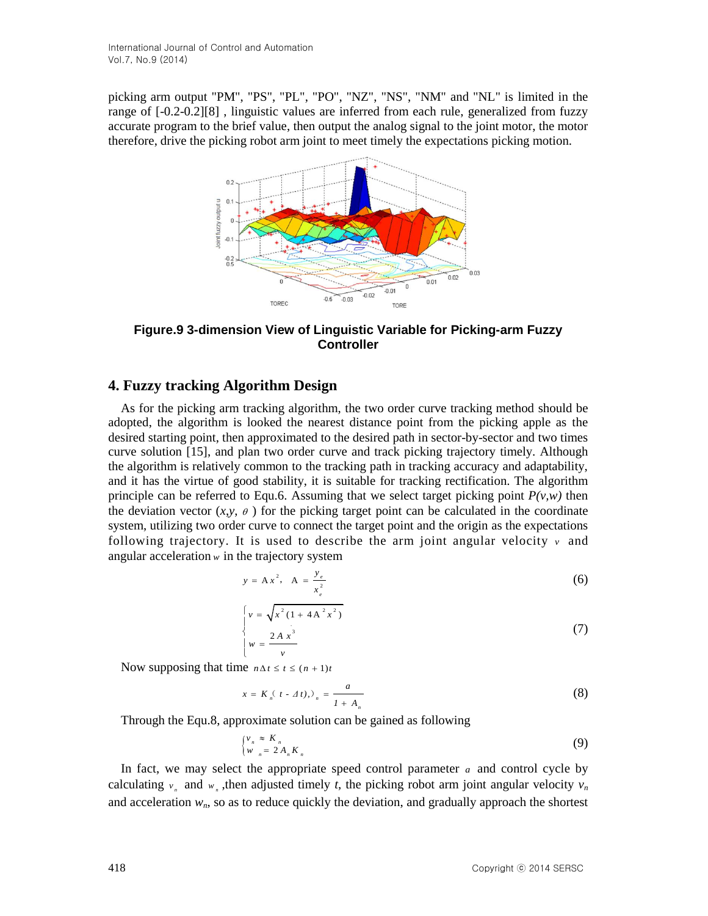picking arm output "PM", "PS", "PL", "PO", "NZ", "NS", "NM" and "NL" is limited in the range of [-0.2-0.2[\]\[8\] ,](#page-10-1) linguistic values are inferred from each rule, generalized from fuzzy accurate program to the brief value, then output the analog signal to the joint motor, the motor therefore, drive the picking robot arm joint to meet timely the expectations picking motion.



**Figure.9 3-dimension View of Linguistic Variable for Picking-arm Fuzzy Controller**

# **4. Fuzzy tracking Algorithm Design**

As for the picking arm tracking algorithm, the two order curve tracking method should be adopted, the algorithm is looked the nearest distance point from the picking apple as the desired starting point, then approximated to the desired path in sector-by-sector and two times curve solution [15], and plan two order curve and track picking trajectory timely. Although the algorithm is relatively common to the tracking path in tracking accuracy and adaptability, and it has the virtue of good stability, it is suitable for tracking rectification. The algorithm principle can be referred to Equ.6. Assuming that we select target picking point  $P(v, w)$  then the deviation vector  $(x, y, \theta)$  for the picking target point can be calculated in the coordinate system, utilizing two order curve to connect the target point and the origin as the expectations following trajectory. It is used to describe the arm joint angular velocity  $\nu$  and angular acceleration *w* in the trajectory system

$$
y = Ax^2
$$
,  $A = \frac{y_e}{x_e^2}$  (6)

$$
\begin{cases}\nv = \sqrt{x^2 (1 + 4A^2 x^2)} \\
w = \frac{2A x^3}{v}\n\end{cases}
$$
\n(7)

Now supposing that time  $n \Delta t \leq t \leq (n + 1)t$ 

$$
x = K_n(t - \Delta t), \quad \lambda_n = \frac{a}{1 + A_n} \tag{8}
$$

Through the Equ.8, approximate solution can be gained as following

$$
\begin{cases} v_n \approx K_n \\ w_n = 2A_n K_n \end{cases} \tag{9}
$$

In fact, we may select the appropriate speed control parameter  $a$  and control cycle by calculating  $v_n$  and  $w_n$ , then adjusted timely *t*, the picking robot arm joint angular velocity  $v_n$ and acceleration  $w_n$ , so as to reduce quickly the deviation, and gradually approach the shortest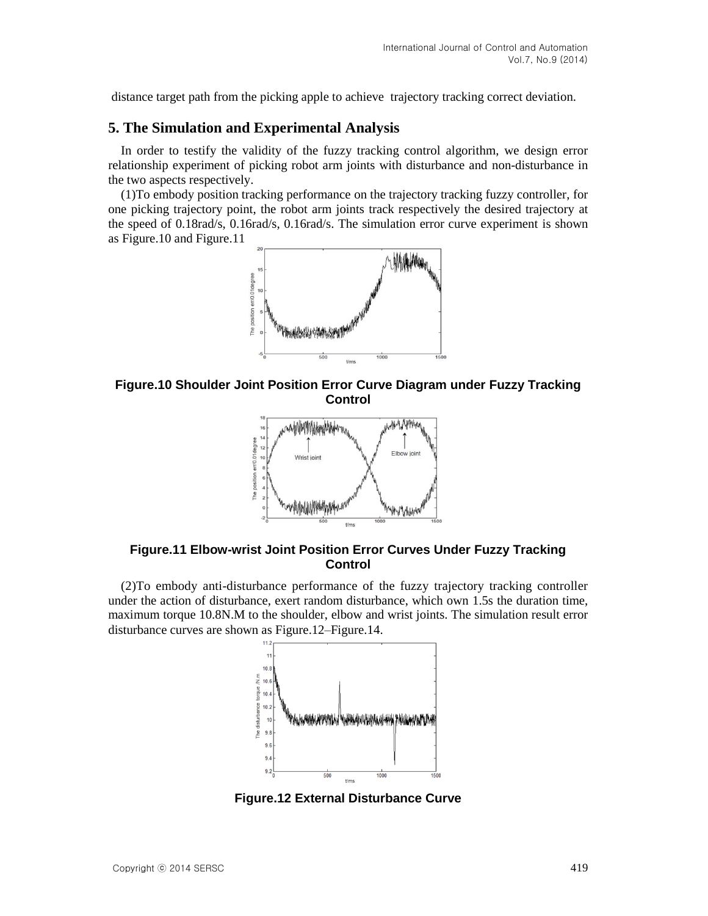distance target path from the picking apple to achieve trajectory tracking correct deviation.

## **5. The Simulation and Experimental Analysis**

In order to testify the validity of the fuzzy tracking control algorithm, we design error relationship experiment of picking robot arm joints with disturbance and non-disturbance in the two aspects respectively.

(1)To embody position tracking performance on the trajectory tracking fuzzy controller, for one picking trajectory point, the robot arm joints track respectively the desired trajectory at the speed of 0.18rad/s, 0.16rad/s, 0.16rad/s. The simulation error curve experiment is shown as Figure.10 and Figure.11



**Figure.10 Shoulder Joint Position Error Curve Diagram under Fuzzy Tracking Control**



**Figure.11 Elbow-wrist Joint Position Error Curves Under Fuzzy Tracking Control**

(2)To embody anti-disturbance performance of the fuzzy trajectory tracking controller under the action of disturbance, exert random disturbance, which own 1.5s the duration time, maximum torque 10.8N.M to the shoulder, elbow and wrist joints. The simulation result error disturbance curves are shown as Figure.12–Figure.14.



**Figure.12 External Disturbance Curve**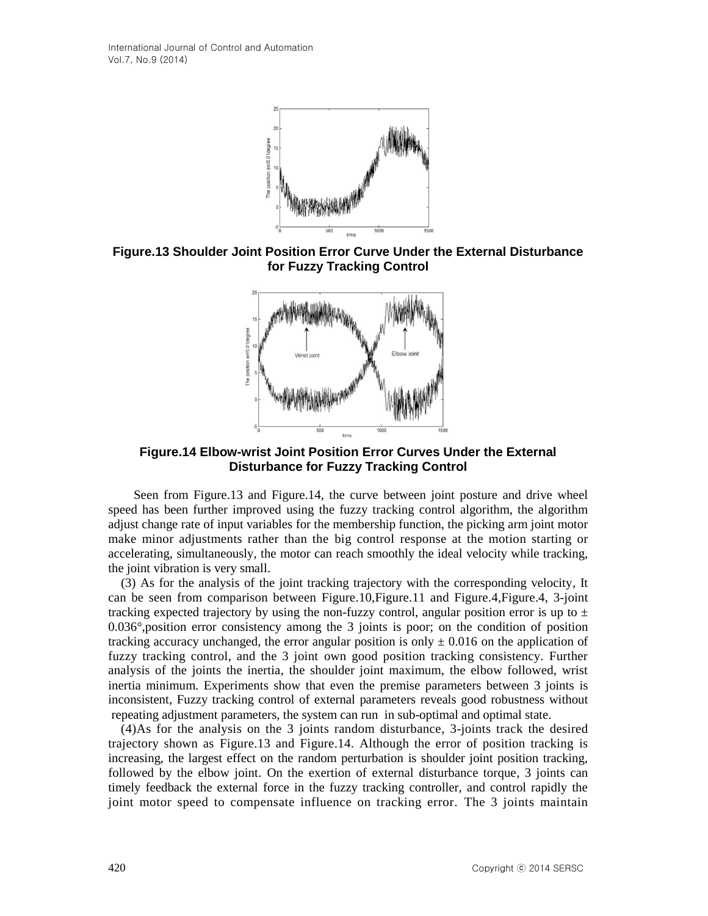International Journal of Control and Automation Vol.7, No.9 (2014)



**Figure.13 Shoulder Joint Position Error Curve Under the External Disturbance for Fuzzy Tracking Control**



**Figure.14 Elbow-wrist Joint Position Error Curves Under the External Disturbance for Fuzzy Tracking Control**

Seen from Figure.13 and Figure.14, the curve between joint posture and drive wheel speed has been further improved using the fuzzy tracking control algorithm, the algorithm adjust change rate of input variables for the membership function, the picking arm joint motor make minor adjustments rather than the big control response at the motion starting or accelerating, simultaneously, the motor can reach smoothly the ideal velocity while tracking, the joint vibration is very small.

(3) As for the analysis of the joint tracking trajectory with the corresponding velocity, It can be seen from comparison between Figure.10,Figure.11 and Figure.4,Figure.4, 3-joint tracking expected trajectory by using the non-fuzzy control, angular position error is up to  $\pm$ 0.036°,position error consistency among the 3 joints is poor; on the condition of position tracking accuracy unchanged, the error angular position is only  $\pm$  0.016 on the application of fuzzy tracking control, and the 3 joint own good position tracking consistency. Further analysis of the joints the inertia, the shoulder joint maximum, the elbow followed, wrist inertia minimum. Experiments show that even the premise parameters between 3 joints is inconsistent, Fuzzy tracking control of external parameters reveals good robustness without repeating adjustment parameters, the system can run in sub-optimal and optimal state.

(4)As for the analysis on the 3 joints random disturbance, 3-joints track the desired trajectory shown as Figure.13 and Figure.14. Although the error of position tracking is increasing, the largest effect on the random perturbation is shoulder joint position tracking, followed by the elbow joint. On the exertion of external disturbance torque, 3 joints can timely feedback the external force in the fuzzy tracking controller, and control rapidly the joint motor speed to compensate influence on tracking error. The 3 joints maintain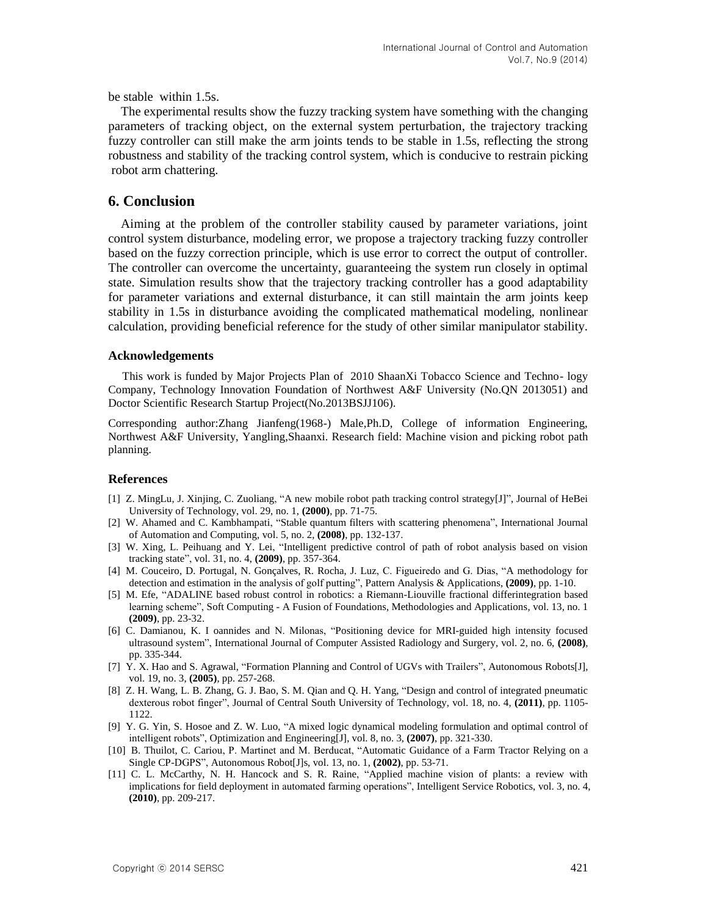be stable within 1.5s.

The experimental results show the fuzzy tracking system have something with the changing parameters of tracking object, on the external system perturbation, the trajectory tracking fuzzy controller can still make the arm joints tends to be stable in 1.5s, reflecting the strong robustness and stability of the tracking control system, which is conducive to restrain picking robot arm chattering.

### **6. Conclusion**

Aiming at the problem of the controller stability caused by parameter variations, joint control system disturbance, modeling error, we propose a trajectory tracking fuzzy controller based on the fuzzy correction principle, which is use error to correct the output of controller. The controller can overcome the uncertainty, guaranteeing the system run closely in optimal state. Simulation results show that the trajectory tracking controller has a good adaptability for parameter variations and external disturbance, it can still maintain the arm joints keep stability in 1.5s in disturbance avoiding the complicated mathematical modeling, nonlinear calculation, providing beneficial reference for the study of other similar manipulator stability.

#### **Acknowledgements**

This work is funded by Major Projects Plan of 2010 ShaanXi Tobacco Science and Techno- logy Company, Technology Innovation Foundation of Northwest A&F University (No.QN 2013051) and Doctor Scientific Research Startup Project(No.2013BSJJ106).

Corresponding author:Zhang Jianfeng(1968-) Male,Ph.D, College of information Engineering, Northwest A&F University, Yangling,Shaanxi. Research field: Machine vision and picking robot path planning.

#### **References**

- [1] Z. MingLu, J. Xinjing, C. Zuoliang, "A new mobile robot path tracking control strategy[J]", Journal of HeBei University of Technology, vol. 29, no. 1, **(2000)**, pp. 71-75.
- [2] W. Ahamed and C. Kambhampati, "Stable quantum filters with scattering phenomena", International Journal of Automation and Computing, vol. 5, no. 2, **(2008)**, pp. 132-137.
- [3] W. Xing, L. Peihuang and Y. Lei, "Intelligent predictive control of path of robot analysis based on vision tracking state", vol. 31, no. 4, **(2009)**, pp. 357-364.
- [4] M. Couceiro, D. Portugal, N. Gonçalves, R. Rocha, J. Luz, C. Figueiredo and G. Dias, "A methodology for detection and estimation in the analysis of golf putting", Pattern Analysis & Applications, **(2009)**, pp. 1-10.
- [5] M. Efe, "ADALINE based robust control in robotics: a Riemann-Liouville fractional differintegration based learning scheme", Soft Computing - A Fusion of Foundations, Methodologies and Applications, vol. 13, no. 1 **(2009)**, pp. 23-32.
- [6] C. Damianou, K. I oannides and N. Milonas, "Positioning device for MRI-guided high intensity focused ultrasound system", International Journal of Computer Assisted Radiology and Surgery, vol. 2, no. 6, **(2008)**, pp. 335-344.
- <span id="page-10-0"></span>[7] Y. X. Hao and S. Agrawal, "Formation Planning and Control of UGVs with Trailers", Autonomous Robots[J], vol. 19, no. 3, **(2005)**, pp. 257-268.
- <span id="page-10-1"></span>[8] Z. H. Wang, L. B. Zhang, G. J. Bao, S. M. Qian and Q. H. Yang, "Design and control of integrated pneumatic dexterous robot finger", Journal of Central South University of Technology, vol. 18, no. 4, **(2011)**, pp. 1105- 1122.
- [9] Y. G. Yin, S. Hosoe and Z. W. Luo, "A mixed logic dynamical modeling formulation and optimal control of intelligent robots", Optimization and Engineering[J], vol. 8, no. 3, **(2007)**, pp. 321-330.
- [10] B. Thuilot, C. Cariou, P. Martinet and M. Berducat, "Automatic Guidance of a Farm Tractor Relying on a Single CP-DGPS", Autonomous Robot[J]s, vol. 13, no. 1, **(2002)**, pp. 53-71.
- [11] C. L. McCarthy, N. H. Hancock and S. R. Raine, "Applied machine vision of plants: a review with implications for field deployment in automated farming operations", Intelligent Service Robotics, vol. 3, no. 4, **(2010)**, pp. 209-217.